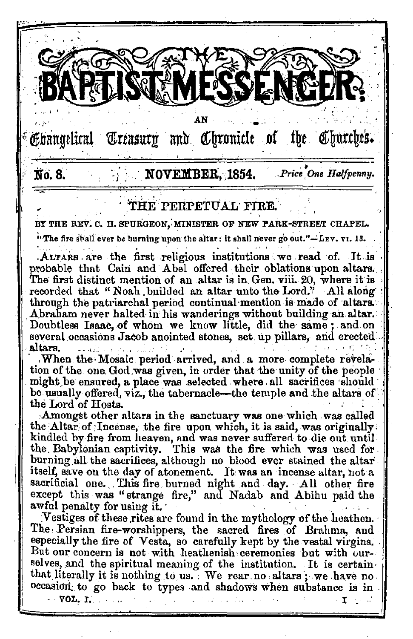Ebangelical Treasury and Chronicle of the Churches.  $N$  NOVEMBER, 1854. No. 8. Price One Halfpenny. THE PERPETUAL FIRE.

BY THE REV. C. H. SPURGEON, MINISTER OF NEW PARK-STREET CHAPEL.

"The fire shall ever be burning upon the altar: it shall never go out."-LEV. VI. 13.

ALTARS are the first religious institutions we read of. It is probable that Cain and Abel offered their oblations upon altars. The first distinct mention of an altar is in Gen. viii. 20, where it is recorded that "Noah builded an altar unto the Lord." All along through the patriarchal period continual mention is made of altars. Abraham never halted in his wanderings without building an altar. Doubtless Isaac, of whom we know little, did the same; and on several occasions Jacob anointed stones, set up pillars, and erected altars.

When the Mosaic period arrived, and a more complete revelation of the one God was given, in order that the unity of the people might be ensured, a place was selected where all sacrifices should be usually offered, viz., the tabernacle—the temple and the altars of the Lord of Hosts.

Amongst other altars in the sanctuary was one which was called the Altar of Incense, the fire upon which, it is said, was originally. kindled by fire from heaven, and was never suffered to die out until the Babylonian captivity. This was the fire which was used for burning all the sacrifices, although no blood ever stained the altar itself, save on the day of atonement. It was an incense altar, not a sacrificial one. This fire burned night and day. All other fire except this was "strange fire," and Nadab and Abihu paid the awful penalty for using it.

Vestiges of these rites are found in the mythology of the heathen. The Persian fire-worshippers, the sacred fires of Brahma, and especially the fire of Vesta, so carefully kept by the vestal virgins. But our concern is not with heathenish ceremonies but with ourselves, and the spiritual meaning of the institution. It is certain that literally it is nothing to us. We rear no altars; we have no. occasion, to go back to types and shadows when substance is in

 $VOL.$   $L$   $...$ 

т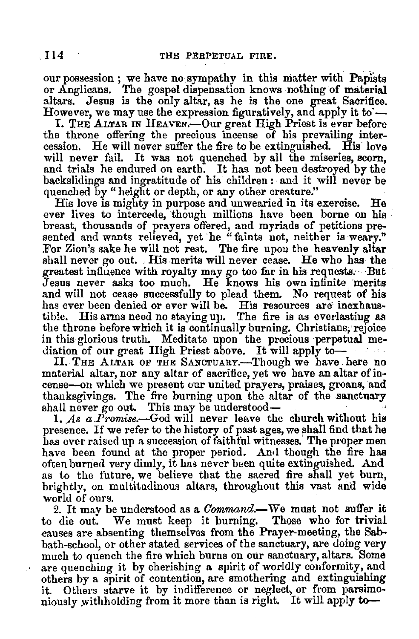our possession ; we have no sympathy in this matter with Papists or Anglicans. The gospel dispensation knows nothing of material altars. Jesus is the only altar, as he is the one great Sacrifice. However, we may use the expression figuratively, and apply it to  $-$ 

I. THE ALTAR IN HEAVEN.—Our great High Priest is ever before the throne offering the precious incense of his prevailing intercession. He will never suffer the fire to be extinguished. His love will never fail. It was not quenched by all the miseries, scorn, and trials he endured on earth. It has not been destroyed by the backslidings and ingratitude of his children : and it will never be quenched by " height or depth, or any other creature."

His love is mighty in purpose and unwearied in its exercise. He ever lives to intercede, though millions have been borne on his breast, thousands of prayers offered, and myriads of petitions presented and wants relieved, yet he "faints not, neither is weary." For Zion's sake he will not rest. The fire upon the heavenly altar shall never go out. , His merits will never cease. He who has the greatest influence with royalty may go too far in his requests.· But Jesus never asks too much. He knows his own infinite merits and will not cease successfully to plead them. No request of his has ever been denied or ever will be. His resources are inexhaustible. His arms need no staying up. The fire is as everlasting as the throne before which it is continually burning. Christians, rejoice in this glorious truth. Meditate upon the precious perpetual mediation of our great High Priest above. It will apply to-

II. THE ALTAR OF THE SANCTUARY.--Though we have here no material altar, nor any altar of sacrifice, yet we have an altar of in-<br>cense-on which we present our united prayers, praises, groans, and thanksgivings. The fire burning upon the altar of the sanctuary shall never go out. This may be understood-

1. As a  $P$ *romise*.—God will never leave the church without his presence. If we refer to the history of past ages, we shall find that he has ever raised up a succession of faithful witnesses. The proper men have been found at the proper period. And though the fire has often burned very dimly, it has never been quite extinguished. And as to the future, we believe that the sacred fire shall yet burn, brightly, on multitudinous altars, throughout this vast and wide

world of ours.<br>2. It may be understood as a *Command*.—We must not suffer it to die out. We must keep it burning. Those who for trivial causes are absenting themselves from the Prayer-meeting, the Sabbath-school, or other stated services of the sanctuary, are doing very much to quench the fire which burns on our sanctuary, altars, Some are quenching it by cherishing a spirit of worldly conformity, and others by a spirit of contention, are smothering and extinguishing it. Others starve it by indifference or neglect, or from parsimoniously withholding from it more than is right. It will apply to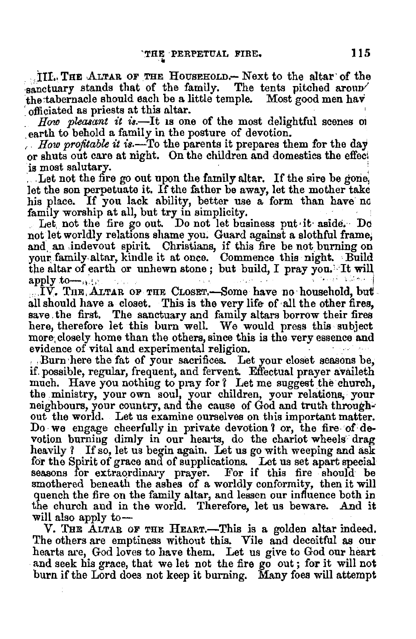... III., THE ALTAR OF THE HOUSEHOLD.- Next to the altar of the sanctuary stands that of the family. The tents pitched aroup the tabernacle should each be a little temple. Most good men hav officiated as priests at this altar.

How pleasant it is.—It is one of the most delightful scenes of earth to behold a family in the posture of devotion.

How profitable it is.—To the parents it prepares them for the day or shuts out care at night. On the children and domestics the effect is most salutary.

Let not the fire go out upon the family altar. If the sire be gone, let the son perpetuate it. If the father be away, let the mother take his place. If you lack ability, better use a form than have no family worship at all, but try in simplicity.

Let not the fire go out. Do not let business put it aside. Do not let worldly relations shame you. Guard against a slothful frame, and an indevout spirit. Christians, if this fire be not burning on your family altar, kindle it at once. Commence this night. Build the altar of earth or unhewn stone; but build, I pray you. It will  $1.54 - 1$ apply to  $\dots$ 

 $\bar{N}$ . The Altar of the Closet,—Some have no household, but all should have a closet. This is the very life of all the other fires. save the first. The sanctuary and family altars borrow their fires here therefore let this burn well. We would press this subject more closely home than the others, since this is the very essence and evidence of vital and experimental religion.

. Burn here the fat of your sacrifices. Let your closet seasons be. if possible, regular, frequent, and fervent. Effectual prayer availeth much. Have you nothing to pray for? Let me suggest the church, the ministry, your own soul, your children, your relations, your neighbours, your country, and the cause of God and truth throughout the world. Let us examine ourselves on this important matter. Do we engage cheerfully in private devotion? or, the fire of devotion burning dimly in our hearts, do the chariot wheels drag heavily ? If so, let us begin again. Let us go with weeping and ask for the Spirit of grace and of supplications. Let us set apart special seasons for extraordinary prayer. For if this fire should be smothered beneath the ashes of a worldly conformity, then it will quench the fire on the family altar, and lessen our influence both in the church and in the world. Therefore, let us beware. And it will also apply to-

V. THE ALTAR OF THE HEART.-This is a golden altar indeed. The others are emptiness without this. Vile and deceitful as our hearts are, God loves to have them. Let us give to God our heart and seek his grace, that we let not the fire go out; for it will not burn if the Lord does not keep it burning. Many foes will attempt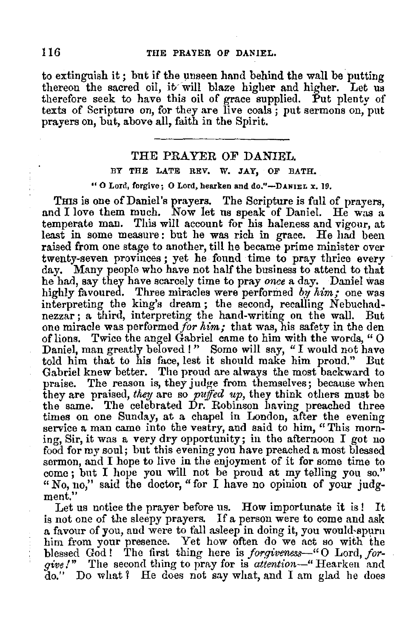to extinguish it; but if the unseen hand behind the wall be putting thereon the sacred oil, it will blaze higher and higher. Let us thereon the sacred oil, it will blaze higher and higher. Let us therefore seek to have this oil of grace supplied. Put plenty of texts of Scripture on, for they are live coals; put sermons on, put prayers on, but, above all, faith in the Spirit.

# THE PRAYER OF DANIEL.

# BY THE LATE REV, W. JAY, OF BATH.

# **"0** Lord, forgive; 0 Lord, hearken and do."-DANIEL *x.* 19.

THIS is one of Daniel's prayers. The Scripture is full of prayers. and I love them much. Now let us speak of Daniel. He was a temperate man. This will account for his haleness and vigour, at least in some measure: but he was rich in grace. He had been raised from one stage to another, till he became prime minister over twenty-seven provinces ; yet he found time to pray thrice every day. Many people who have not half the business to attend to that he had, say they have scarcely time to pray once a day. Daniel was highly favoured. Three miracles were performed by  $him$ ; one was interpreting the king's dream; the second, recalling Nebuchadnezzar; a third, interpreting the hand-writing on the wall. But one miracle was performed for  $h$ of lions. Twice the angel Gabriel came to him with the words, " $\overline{0}$ Daniel, man greatly beloved !" Some will say, "I would not have told him that to his face, lest it should make him proud." But Gabriel knew better. The proud are always the most backward to praise. The reason is, they judge from themselves; because when they are praised, *they* are so *puffed up,* they think others must be the same. The celebrated Dr. Robinson having preached three times on one Sunday, at a chapel in London, after the evening service a man came into the vestry, and said to him, "This morning, Sir, it was a very dry opportunity; in the afternoon I got no food for my soul; but this evening you have preached a most blessed sermon, and I hope to live in the enjoyment of it for some time to come; but I hope you will not be proud at my telling you so." " No, no," said the doctor, "for I have no opinion of your judgment.''

Let us notice the prayer before us. How importunate it is! It is not one of the sleepy prayers. If a person were to come and ask a favour of you, and were to fall asleep in doing it, you would-spurn him from your presence. Yet how often do we act so with the blessed God! The first thing here is *forgiveness*—"O Lord, *forgive!*" The second thing to pray for is *attention*—" Hearken and do." Do what 1 He does not say what, and I am glad he does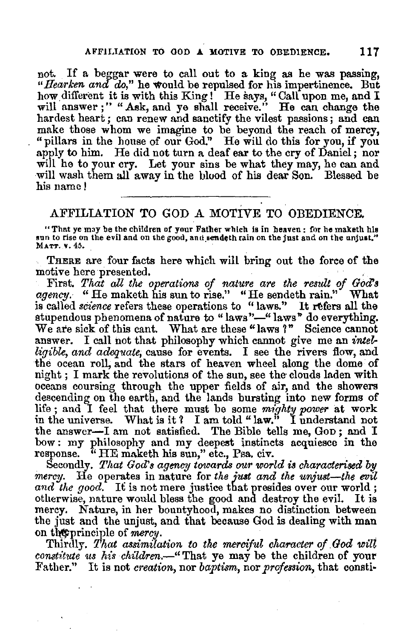not. If a beggar were to call out to a king as he was passing, "Hearken and do," he would be repulsed for his impertinence. But how.different it is with this King! He says," Call upon me, and I will answer ; " " Ask, and ye shall receive." He can change the hardest heart; can renew and sanctify the vilest passions; and can make those whom we imagine to be beyond the reach of mercy, " pillars in the house of our God." He will do this for you, if you will he to your cry. Let your sins be what they may, he can and will wash them all away in the blood of his dear Son. Blessed be his name!

# AFFILIATION TO GOD A MOTIVE TO OBEDIENCE.

"That ye m3y be the children of your Father which is in heaven : for he maketh hls sun to rise on the evil and on the good, and\_sendeth rain on the just and on the unjust." MATT, v. 45.

THERE are four facts here which will bring out the force of the motive here presented.

motive here presented.<br>· First. *That all the operations of nature are the result of God*'s *agency.* "He maketh his sun to rise." "He sendeth rain." What is called *science* refers these operations to "laws." It refers all the stupendous phenomena of nature to "laws"-" laws" do everything. We are sick of this cant. What are these "laws ?" Science cannot answer. I call not that philosophy which cannot give me an *intelligible, and adequate, cause for events.* I see the rivers flow, and the ocean roll, and the stars of heaven wheel along the dome of night: I mark the revolutions of the sun, see the clouds laden with oceans coursing through the upper fields of air, and the showers descending on the earth, and the lands bursting into new forms of life ; and I feel that there must be some *mighty power* at work in the universe. What is it *1* I am told" law." I understand not the answer-I am not satisfied. The Bible tells me, Gop; and I bow: my philosophy and my deepest instincts acquiesce in the response. "HE maketh his sun," etc., Psa. civ.

Secondly. That God's agency towards our world is characterised by *mercy.* He operates in nature for *the just and the unjust-the evil*  and the good. It is not mere justice that presides over our world; otherwise, nature would bless the good and destroy the evil. It is mercy. Nature, in her bountyhood, makes no distinction between the just and the unjust, and that because God is dealing with man on the principle of mercy.

Thirdly. *That assimilation to the merciful character of God will constitute us his children.*-" That ye may be the children of your Father." It is not *creation,* nor *baptism,* nor *profession,* that consti-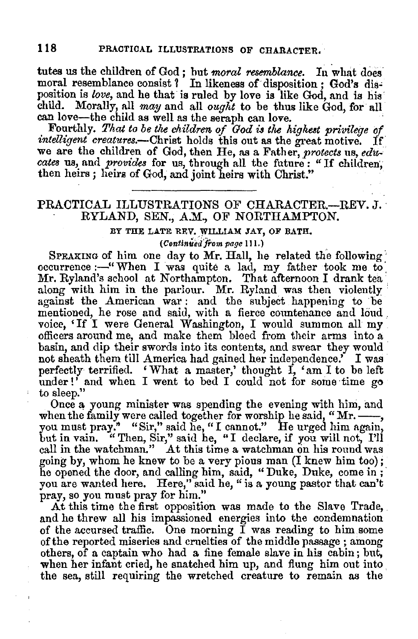tutes us the children of God; but *moral resemblance*. In what does moral resemblance consist ? In likeness of disposition ; God's disposition is *love*, and he that is ruled by love is like God, and is his child. Morally, all *may* and all *ought* to be thus like God, for all

Fourthly. That to be the children of God is the highest privilege of *intelligent creatures.*--Christ holds this out as the great motive. If we are the children of God, then He, as a Father, protects us, edu*cates* us, and *provides* for us, through all the future: "If children; then heirs; heirs of God, and joint heirs with Christ."

# PRACTICAL ILLUSTRATIONS OF CHARACTER.-REV. J. RYLAND, SEN., A.M., OF NORTHAMPTON.

# BY THE LATE REV. WILLIAM JAY, OF BATH.

*(Centinuedfrom page* 11 J.)

SPEAKING of him one day to Mr. Hall, he related the following occurrence :- "When I was quite a lad, my father took me to Mr. Ryland's school at Northampton. That afternoon I drank tea along with him in the parlour. Mr. Ryland was then violently against the American war: and the subject happening to be mentioned, he rose and said, with a fierce countenance and loud , voice, 'If I were General Washington, I would summon all my officers around me, and make them bleed from their arms into a basin, and dip their swords into its contents, and swear they would not sheath them till America had gained her independence.' I was perfectly terrified. 'What a master,' thought  $\overrightarrow{I}$ , 'am I to be left under!' and when  $I$  went to bed  $I$  could not for some time go to sleep."

Once a young minister was spending the evening with him, and when the family were called together for worship he said, "Mr.-, you must pray." "Sir," said he, "I cannot." He urged him again, but in vain. "Then, Sir," said he, "I declare, if you will not, I'll call in the watchman." At this time a watchman on his round was going by, whom he knew to be a very pious man (I knew him too); he opened the door, and calling him, said, "Duke, Duke, come in; you are wanted here. Here," said he, " is a young pastor that can't pray, so you must pray for him."

At this time the first opposition was made to the Slave Trade, and he threw all his impassioned energies into the condemnation of the accursed traffic. One morning  $\overrightarrow{I}$  was reading to him some of the reported miseries and cruelties of the middle passage; among others, of a captain who had a fine female slave in his cabin; but, when her infant cried, he snatched him up, and flung him out into the sea, still requiring the wretched creature to remain as the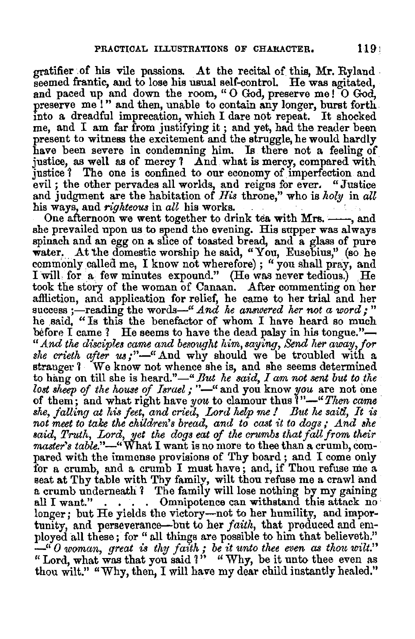gratifier of his vile passions. At the recital of this, Mr. Ryland seemed frantic, and to lose his usual self-control. He was agitated, and paced up and down the room, " O God, preserve me! O God, preserve me!" and then, unable to contain any longer, burst forth into a dreadful imprecation, which I dare not repeat. It shocked me, and I am far from justifying it ; and yet, had the reader been present to witness the excitement and the struggle, he would hardly have been severe in condemning him. Is there not a feeling of justice, as well as of mercy ? And what is mercy, compared with justice ? The one is confined to our economy of imperfection and evil; the other pervades all worlds, and reigns for ever. "Justice evil; the other pervades all worlds, and reigns for ever. and judgment are the habitation of *His* throne," who is *holy* in *all* 

One afternoon we went together to drink tea with Mrs. ----, and she prevailed upon us to spend the evening. His supper was always spinach and an egg on a slice of toasted bread, and a glass of pure water. At the domestic worship he said, "You, Eusebius," (so he commonly called me, I know not wherefore); "you shall pray, and I will for a few minutes expound." (He was never tedious.) He took the story of the woman of Canaan. After commenting on her affliction, and application for relief, he came to her trial and her success;—reading the words—" And he answered her not a word;" he said, "Is this the benefactor of whom I have heard so much before I came ? He seems to have the dead palsy in his tongue."-" And the disciples came and besought him, saying, Send her away, for *she crieth after us;"-"* And why should we be troubled. with a stranger 1 We know not whence she is, and she seems determined to hang on till she is heard."-" But he said, I am not sent but to the *lost sheep of the house of Israel;* "-" and you know *you* are not one of them; and what right have *you* to clamour thus ?"-"Then came of them; and what right have *you* to clamour thus 1 "-" *Then came* · *she, j alling at his feet, and cried, Lord help* me *I But he saitl,* . *It is not meet to take the children's bread, and to cast it to dogs; And alie said, Truth, Lord, yet the dogs eat of the crumbs that fall from their*  master's table."-"What I want is no more to thee than a crumb, compared with the immense provisions of Thy board ; and I come only for a crumb, and a crumb I must have; and, if Thou refuse me a seat at Thy table with Thy familv, wilt thou refuse me a crawl and a crumb underneath ? The family will lose nothing by my gaining all I want." . . . Omnipotence can withstand this attack no longer; but He yields the victory-not to her humility, and importunity, and perseverance-but to her *faith*, that produced and employed all these ; for " all things are possible to him that believeth." ployed all these; for " all things are possible to him that believe<br>" *O woman, great is thy faith*; *be it unto thee even as thou wilt.*" " Lord, what was that you said ?" " Why, be it unto thee even as thou wilt." "Why, then, I will have my dear child instantly hesled."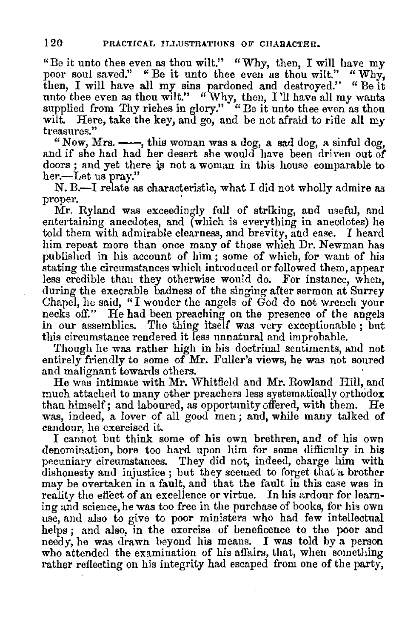"Be it unto thee even as thou wilt." "Why, then, I will have my poor soul saved." "Be it unto thee even as thou wilt." "Why, then, I will have all my sins pardoned and destroyed." "Be it then, I will have all my sins pardoned and destroyed." unto thee even as thou wilt." "Why, then, I'll have all my wants supplied from Thy riches in glory." "Be it unto thee even as thou wilt. Here, take the key, and go, and be not afraid to rifle all my treasures."

"Now, Mrs.  $\longrightarrow$ , this woman was a dog, a sad dog, a sinful dog. and if she had had her desert she would have been driven out of doors; and yet there is not a woman in this house comparable to her.-Let us pray."

N. B.-I relate as characteristic, what I did not wholly admire as proper.

Mr. Ryland was exceedingly full of striking, and useful, and entertaining anecdotes, and (which is everything in anecdotes) he told them with admirable clearness, and brevity, and ease. I heard him repeat more than once many of those which Dr. Newman has published in his account of him ; some of which, for want of his stating the circumstances which introduced or followed them, appear less credible than they otherwise would do. For instance, when, during the execrable badness of the singing after sermon at Surrey Chapel, he said, "I wonder the angels of God do not wrench your necks off." He had been preaching on the presence of the angels in our assemblies. The thing itself was very exceptionable ; but this circumstance rendered it less unnatural and improbable.

Though he was rather high in his doctrinal sentiments, and not entirely friendly to some of Mr. Fuller's views, he was not soured and malignant towards others.

He was intimate with Mr. Whitfield and Mr. Rowland Hill, and much attached to many other preachers less systematically orthodox than himself; and laboured, as opportunity offered, with them. He was, indeed, a lover of all good men; and, while many talked of candour, he exercised it.<br>I cannot but think some of his own brethren, and of his own

denomination, bore too hard upon him for some difficulty in his pecuniary circumstances. They did not, indeed, charge him with dishonesty and injustice ; but they seemed to forget that a brother may be overtaken in a fault, and that the fault in this case was in reality the effect of an excellence or virtue. In his ardour for learning and science, he was too free in the purchase of books, for his own use, and also to give to poor ministers who had few intellectual helps; and also, in the exercise of beneficence to the poor and needy, he was drawn heyond hie means. I was told by a person who attended the examination of his affairs, that, when something rather reflecting on his integrity had escaped from one of the party,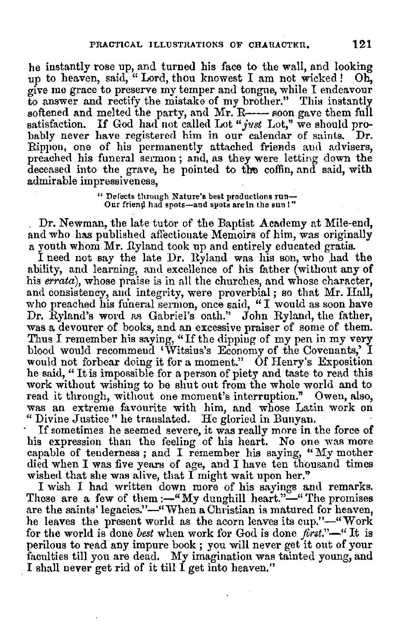he instantly rose up, and turned his face to the wall, and looking up to heaven, said, " Lord, thou knowest I am not wicked! Oh, give me grace to preserve my temper and tongue, while I endeavour to answer and rectify the mistake of my brother." This instantly softened and melted the party, and  $Mr.$  R- $\cdots$  soon gave them full satisfaction. If God had not called Lot *"just* Lot," we should probably never have registered him in our calendar of saints. Dr. Rippon, one of his permanently attached friends and advisers, preached his funeral sermon ; and, as they were letting down the deceased into the grave, he pointed to the coffin, and said, with admirable impressiveness,

" Defects through Nature's best productions run- Our frien{l had spots-and spots are in the sun I"

Dr. Newman, the late tutor of the Baptist Academy at Mile-end, and who has published affectionate Memoirs of him, was originally a youth whom Mr. Ryland took up and entirely educated gratis.

I need not say the late Dr. Ryland was his son, who had the ability, and learning, and excellence of his father (without any of his *errata),* whose praise is in all the churches, and whose character, and consistency, and integrity, were proverbial; so that Mr. Hall, who preached his funeral sermon, once said, "I would as soon have<br>Dr. Ryland's word as Gabriel's oath." John Ryland, the father, was a devourer of books, and an excessive praiser of some of them. Thus I remember his saying, "If the dipping of my pen in my very blood would recommend 'Witsius's Economy of the Covenants,' I would not forbear doing it for a moment." Of Henry's Exposition he said, "It is impossible for a person of piety and taste to read this work without wishing to be shut out from the whole world and to read it through, without one moment's interruption." Owen, also, was an extreme favourite with him, and whose Latin work on "Divine Justice" he translated. He gloried in Bunyan.<br>If sometimes he seemed severe, it was really

his expression than the feeling of his heart. No one was more capable of tenderness; and I remember his saying, "My mother died when I was five years of age, and I have ten thousand times wished that she was alive, that I might wait upon her."

I wish I had written down more of his sayings and remarks. These are a few of them :-"My dunghill heart."-" The promises are the saints' legacies."-"When a Christian is matured for heaven. he leaves the present world as the acorn leaves its cup."-"Work for the world is done *best* when work for God is done *first."-"* It **is**  perilous to read any impure book ; you will never get it out of your faculties till you are dead. *My* imagination was tainted young, and I shall never get rid of it till I get into heaven,"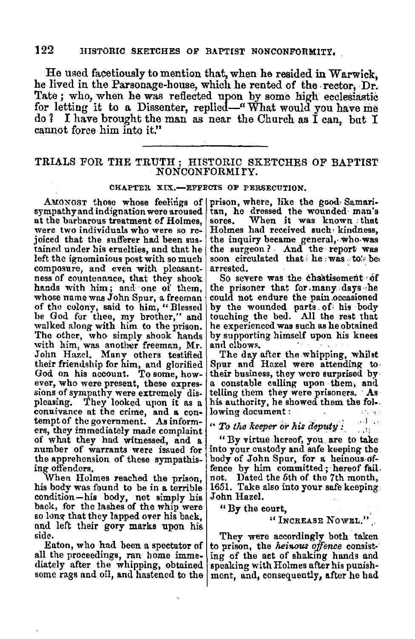He used facetiously to mention that, when he resided in Warwick, he lived in the Parsonage-house, which he rented of the. reetor, Dr. Tate ; who, when he was reflected upon by some high ecclesiastic for letting it to a Dissenter, replied-"What would you have me do ? I have brought the man as near the Church as  $\tilde{I}$  can, but I cannot force him into it."

# TRIALS FOR THE TRUTH ; HISTORIC SKETCHES OF BAPTIST NONCONFORMI rY.

### CHAPTER XIX.-EFFECTS OF PERSECUTION.

sympathyand indignation were aroused tan, he dressed the wounded man's<br>at the barbarous treatment of Holmes, sores. When it was known that at the barbarous treatment of Holmes, sores. When it was known *: that* were *two individuals who were so re-* Holmes had received such: kindness, individuals who **was** hide individuals who **was** joiced that the sufferer had been sus- the inquiry became general, who was tained under his cruelties, and that he the surgeon? And the report was left the ignominious post with so much soon circulated that, he was to be, composure, and even with pleasant- arrested.<br>ness of countenance, that they shook So severe was the chastisement of<br>hands with him; and one of them, the prisoner that for many days he hands with him; and one of them, the prisoner that for many days he whose name was John Spur, a freeman could not endure the pain occasioned whose name was John Spur, a freeman of the colony, said to him, "Blessed be God for thee, my brother," and touching the bed. All the rest that walked along with him to the prison. he experienced was such as he obtained The other, who simply shook hands by supporting himself upon his knees with him, was another freeman,  $Mr.$  and elbows. John Hazel, Many others testified The day after the whipping, whilst their friendship for him, and glorified Spur and Hazel were attending to their friendship for him, and glorified God on his account. To some, however, who were present, these expres- a constable calling upon them, and sions of sympathy were extremely dis-<br>including them they were prisoners. As sions of sympathy were extremely dis-<br>pleasing. They looked upon it as a connivance at the crime, and a con- lowing document :  $t_{\text{min}}$  .  $t_{\text{min}}$  .  $t_{\text{min}}$  ,  $t_{\text{min}}$  ,  $t_{\text{min}}$  ,  $t_{\text{min}}$  ,  $t_{\text{min}}$  ,  $t_{\text{min}}$  ,  $t_{\text{min}}$  ,  $t_{\text{min}}$  ,  $t_{\text{min}}$  ,  $t_{\text{min}}$  ,  $t_{\text{min}}$  ,  $t_{\text{min}}$  , ers, they immediately made complaint of what they had witnessed, and a "By virtue hereof, you are to take number of warrants were issued for into your custody and safe keeping the number of warrants were issued for into your custody and safe keeping the the apprehension of these sympathis- body of John Spur, for a heinous ofthe apprehension of these sympathis-<br>ing offenders,

When Holmes reached the prison, not. his body was found to be in a terrible  $|1651|$ . Take also into your safe keeping condition—his body, not simply bis John Hazel. condition-his body, not simply his back, for the lashes of the whip were so long that they lapped over his back, and left their gory marks upon his side.

Eaton, who had been a spectator of all the proceedings, ran home immediately after the whipping, obtained some rags and oil, and hastened to the

AMONGST those whose feelings of prison, where, like the good Samari-<br>mpathyand indignation were aroused tan, he dressed the wounded man's

by the wounded parts of his body touching the bed. All the rest that

their business, they were surprised by<br>a constable calling upon them, and his authority, he showed them the fol-, lowing document:

fence by him committed; hereof fail,<br>not. Dated the 5th of the 7th month,

## " By the court,

"INCREASE NOWEL."

They were accordingly both taken to prison, the *heinous offence* consisting of the act of shakmg hands and speaking with Holmes after his punishment, and, consequently, after he had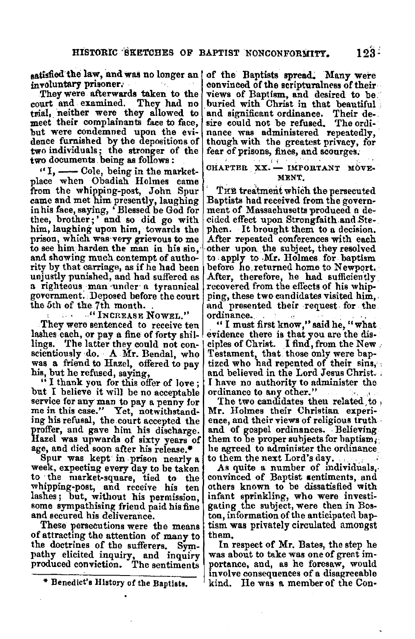satisfied the law, and was no longer an of the Baptists spread. Many were<br>involuntary prisoner.

but were condemned upon the evi- nance was administered repeatedly, dence furnished by the depositions of though with the greatest privacy, for two individuals; the stronger of the two documents being as follows:<br>  $\begin{array}{c} \n\text{or} \\ \n\text{or} \\ \n\end{array}$  of  $\begin{array}{c} \n\text{or} \\ \n\text{or} \\ \n\end{array}$   $\begin{array}{c} \n\text{or} \\ \n\text{or} \\ \n\end{array}$ 

 $\mathbf{u}$ , --Cole, being in the market-  $\mathbf{u}^{\text{CHAPTER}}$   $\mathbf{x}$ , - IMPNT place when Obadiah Holmes came MENT.<br>from the whipping-post, John Spur THE treatment which the persecuted from the whipping-post, John Spur . THE treatment which the persecuted came and met him presently, laughing Baptists had received from the govern-<br>inhis face, saying, 'Blessed be God for ment of Massachusetts produced a de thee, brother;' and so did go with cided effect upon Strongfaith and Ste-<br>him, laughing upon him, towards the phen. It brought them to a decision. him, laughing upon him, towards the phen. It brought them to a decision.<br>prison, which was very grievous to me After repeated conferences with each prison, which was very grievous to me to see him harden the man in his sin, to see him. harden the man in his sin,  $\phi$  other upon the subject, they resolved and showing much contempt of autho- to apply to Mr. Holmes for baptism and showing much contempt of autho- to apply to Mr. Holmes, for baptism<br>rity by that carriage, as if he had been before he returned home to Newport. rity by that carriage, as if he had been before he returned home to Newport.<br>unjustly punished, and had suffered as After, therefore, he had sufficiently a righteous man under a tyrannical recovered from the effects of his whip-government. Deposed before the court right, these two candidates visited him. government. Deposed before the court<br>the 5th of the 7th month,

lings. The latter they could not con-<br>scientiously do. . A Mr. Bendal, who

ing his refusal, the court accepted the ence, and their views of religious truth proffer, and gave him his discharge. and of gospel ordinances. Believing. Hazel was unwards of sixty vears of them to be proper subjects for Hazel was upwards of sixty years of them to be proper subjects for baptism;<br>age, and died soon after his release.\* he agreed to administer the ordinance age, and died soon after his release.<sup>\*</sup>

Spur was kept in prison nearly a to them the next Lord's day.<br>week, expecting every day to be taken As quite a number of individuals,<br>to the market-square, tied to the convinced of Baptist sentiments, and to the market-square, tied to the whipping-post, and receive his ten others known to be dissatisfied with lashes; but, without his permission, infant sprinkling, who were investilashes; but, without his permission, infant sprinkling, who were investisome sympathising friend paid his fine gating the subject, were then in Bos-<br>and secured his deliverance.

of attracting the attention of many to them.<br>the doctrines of the sufferers. Sympathy elicited inquiry, and inquiry was about to take was one of grent im-<br>produced conviction. The sentiments portance, and, as he foresaw, would

voluntary prisoner.<br>They were afterwards taken to the views of Baptism, and desired to be views of Baptism, and desired to be.<br>buried with Christ in that beautiful court and examined. They had no buried with Christ in that beautiful trial, neither were they allowed to and significant ordinance. Their de-<br>meet their complainants face to face, sire could not be refused. The ordithough with the greatest privacy, for<br>fear of prisons, fines, and scourges.

the 5th of the 7th month. . and presented their request for the .

They were sentenced to receive ten ... "I must first know," said he, "what shes each, or pay a fine of forty shil-<br>evidence there is that you are the dislashes each, or pay a fine of forty shil- evidence there is that you are the dis-<br>lings. The latter they could not con- ciples of Christ. I find, from the New scientiously do. A Mr. Bendal, who Testament, that those only were bap-<br>was a friend to Hazel, offered to pay ized who had repented of their sins,<br>his, but he refused, saying,<br>in the board believed in the Lord Jesus Christ

service for any man to pay a penny for The two candidates then related, to me in this case." Yet, notwithstand- Mr. Holmes their Christian experi-<br>ing his refusal, the court accepted the ence, and their views of religious

ton, information of the anticipated bap-These persecutions were the means itism was privately circulated amongst

 $Sym-$  In respect of Mr. Bates, the step he portance, and, as he foresaw, would<br>involve consequences of a disagreeable kind. He was a member of the Con-

<sup>&</sup>quot; Benedict's History of the Baptists.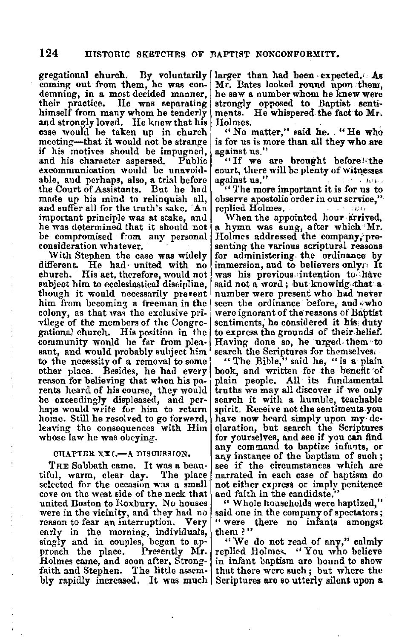gregational church. By voluntarily coming out from them, he was con-<br>demning, in a most decided manner, their practice. He was separating himself from many whom he tenderly<br>and strongly loved. He knew that his case would he taken up in church meeting-that it would not be strange if his motives should be impugned,<br>and his character aspersed. Public and his character aspersed. excommunication would be unavoidablc, and perhaps, also, a trial before the Court of Assistants. But he had made up his mind to relinquish all, and suffer all for the truth's sake. 'An important principle was at stake, and he was determined that it should not be compromised from any personal<br>consideration whatever.

With Stephen the case was widely different. He had united with no church. His act, therefore, would not subject him to ecclesiastical discipline, though it would necessarily prevent him from becoming a freeman in the colony, as that was the exclusive privilege of the members of the Congregational church. His position in the community would be far from pleasant, and would probably subject him  $\mathfrak b$  to the necessity of a removal to some! other place. Besides, he had every reason for believing that when his parents heard of his course, they would be exceedingly displeased, and perhaps would write for him to return home. Still he resolved to go forward, leaving the consequences with Him whose law he was obeying.

### CHAPTER XXI.-A DISCUSSION.

THE Sabbath came. It was a beautiful, warm, clear day. The place selected for the occasion was a small cove on the west side of the neck that<br>united Boston to Roxbury. No houses were in the vicinity, and they had no reason to fear an interruption. Very early in the morning, individuals, singly and in couples, began to approach the place. Presently **Mr.**  Holmes came, and soon after, Strongfaith and Stephen. The little assem- that there were such; but where the bly rapidly increased. It was much Scriptures are so utterly silent upon a bly rapidly increased. It was much Scriptures are so utterly silent upon a

larger than had been expected. As Mr. Bates looked round upon them,<br>he saw a number whom he knew were strongly opposed to Baptist · sentiments. He whispered-the fact to Mr. Holmes.

"No matter." said he. "He who is for us is more than all they who are against us."

"If we are brought before! the court, there will be plenty of witnesses against us." **All the Community of the Community** 

" The more important it is for us to observe apostolic order in our service,"

When the appointed hour arrived.<br>a hymn was sung, after which 'Mr. Holmes addressed the company, pre-<br>senting the various scriptural reasons for administering the ordinance by immersion, and to believers onlyr. It was his previous intention to thave<br>said not a word; but knowing that a number were present who had never<br>seen the ordinance before, and ,:who<br>were ignorant of the reasons of Baptist sentiments, he considered it his duty to express the grounds of their belief. Having done so, he urged them to search the Scriptures for themselves.

"The Bible," said he, "is a plain book, and written for the benefit of plain people. All· its fundamental truths we may all discover if we only search it with a humble, teachable spirit. Receive not the sentiments.you have now heard simply upon my· declaration, but search the Scriptures for yourselves, and see if you can find<br>any command to baptize infants, or<br>any instance of the baptism of such;<br>see if the circumstances which are<br>narrated in each case of baptism do narrated in each case of baptism do<br>not either express or imply penitence<br>and faith in the candidate."

" Whole households were haptized," said one in the company of spectators; " were there no infants amongst them?"

"We do not read of any," calmly replied Holmes. "You who believe in infant baptism are bound to show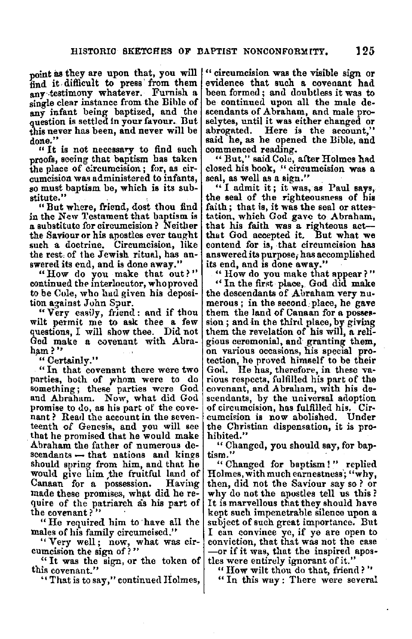point as they are upon that, you will find it difficult to press from them<br>any testimony whatever. Furnish a single clear instance from the Bible of any infant being baptized, and the question is settled in your favour. But this never has been, and never will be done."

"It is not necessary to find such proofs, seeing that baptism has taken the place of c:rcumcision; for, as circumcision was administered to infants, so must baptism be, which is its substitute."

"But where, friend, dost thou find in the New Testament that baptism is a substitute for circumcision? Neither the Saviour or his apostles ever taught such a doctrine. Circumcision, like the rest, of the Jewish ritual, has an-<br>swered its end, and is done away."

"How do you make that out?" continued the interlocutor, who proved to.be Cole, who had given his deposition against John Spur.

" Very casily, friend: and if thou wilt permit me to ask thee a few<br>questions. I will show thee. Did not questions, I will show thee. God make a covenant with Abraham?"

" Certainly."

'' In that covenant there were two parties, both of *y*whom were to do something; these parties were God and Abraham. Now, what did God promise to do, as his part of the cove-<br>nant ? Read the account in the seven-<br>teenth of Genesis, and you will see<br>that he promised that he would make Abraham the father of numerous descendants - that nations and kings should spring from him, and that he would give him the fruitful land of Canaan for a possession. made these promises, what did he re-<br>quire of the patriarch as his part of the covenant? ''

"He required him to have all the males of his family circumcised."

"Very well; now, what was circumcision the sign of?"

" It was the sign, or the token of this covenant."

'' That is to say," continued Holmes,

" circumcision was the visible sign or evidence that such a covenant had been formed; and doubtless it was to be continued upon all the male descendants of Abraham, and male proselytes, until it was either changed or abrogated. Here is the account," said he, as he opened the Bible, and commenced reading.

"But," said Cole, after Holmes had closed his book, " circumcision was a seal, as well as a sign."

" I admit it; it was, as Paul says, the seal of the righteousness of his faith; that is, it was the seal or attestation, which God gave to Abraham, that his faith was a righteous act--<br>that God accepted it. But what we contend for is, that circumcision has answered its purpose; has accomplished its end, and is done away."

"How do you make that appear?"

"In the first-place, God did make<br>the descendants of Abraham very numerous; in the second, place, he gave them the land of Canaan for a possession; and in the third place, by giving them the revelation of his will, a religious ceremonial, and granting them,<br>on various occasions, his special protection, he proved himself to be their Gotl. He has, therefore, in these va- rious respects, fulfilled his part of the covenant, and Abraham, with his descendants, by the universal adoption of circumcision, has fulfilled his. Circumcision is now abolished. Under the Christian dispensation, it is pro• hibited."

"Changed, you should say, for baptism."

" Changed for baptism!" replied Holmes, with much earnestness'; "why, then, did not the Saviour say so? or why do not the apostles tell us this ? It is marvellous that they should have kept such impenetrable silence upon a subject of such great importance. But I can convince ye, if ye are open to conviction, that that was not the case -or if it was, that the inspired apostles were entirely ignorant of it."

" How wilt thou do that, friend? " " In this way : There were several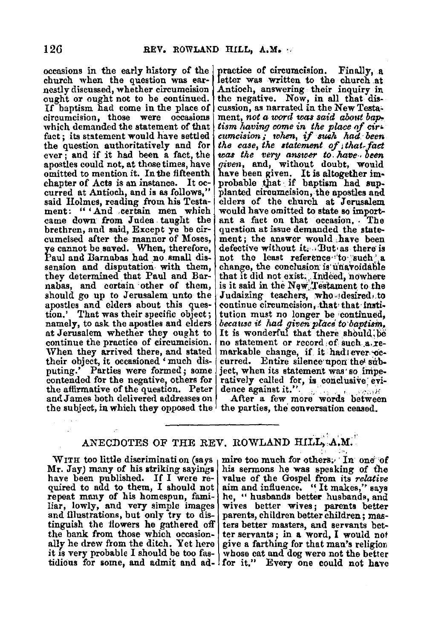occasions in the early history of the nestly discussed, whether circumcision ought or ought not to be continued. If baptism had come in the place of circumcision, those were occasions which demanded the statement of that fact; its statement would have settled<br>the question authoritatively and for ever  $\frac{1}{x}$  and if it had been a fact, the apostles could not, at those times, have omitted to mention it. In the fifteenth<br>chapter of Acts is an instance. It occurred at Antioch, and is as follows," said Holmes, reading from his Testament: " 'And ,certain men which came down from Judea . taught the brethren, and said, Except ye be circumcised after the manner of Moses, ye cannot be saved. When, therefore, Paul and Barnabas had no.small dissension and disputation with them, they determined that Paul and Barnabas, and certain ·other of them, should go up to Jerusalem unto the apostles and elders about this question.' That was their specific object; namely, to ask the apostles and elders at Jerusalem whether they ought to continue the practice of circumcision. When they arrived there, and stated their object, it occasioned ' much dis-<br>puting.' Parties were formed; some contended for the negative, others for the affirmative of the question. Peter and James both delivered addresses on the subject, in which they opposed the the parties, the conversation ceased.

practice of circumcision. Finally, a letter was written to the church **at**  Antioch, answering their inquiry in the negative. Now, in all that discussion, as narrated in the New Testament, not a word was said about bap*tism having come in the place of cir~ cumcision; 1ohen,* if *smh had.· been the case, the atatement of, that,fact was the very answer to,.have-, been given,* and, without doubt, would have been given. It is altogether im-<br>probable that if baptism had supplanted circumcision, the apostles and elders of the church at Jerusalem would have omitted to state so important a fact on that occasion. The question at issue demanded the statement; the answer would have been defective without it. But as there is not the least reference "to such" a change, the conclusion is unavoidable that it did not exist; ... Indeed, nowhere is it said in the New Testament to the Judaizing teachers, who desired, to continue circumcision, that• that·imtitution must no longer be continued, *because it had given place to baptism,* It is wonderful that there should,  $\overline{p}e$  no statement or record of such  $\overline{a}$ , remarkable change, if it had ever oc-<br>curred. Entire silence upon the subject, when its statement was' so imperatively called for, is conclusive evidence against it." .. ,. ·· ., . , \_.,,;,,;, After a few more words between

# ANECDOTES OF THE REV. ROWLAND HILL, A.M.

Mr. Jay) many of his striking sayings his sermons he was speaking of the have been published. If I were re- value of the Gospel from its relative have been published. If I were re- value of the Gospel from its *relative* quired to add to them, I should not aim and influence. "It makes," says quired to add to them, I should not repeat many of his homespun, familiar, lowly, and very simple images and illustrations, but only try to dis-<br>tinguish the flowers he gathered off ters better masters, and servants bet-<br>the bank from those which occasion- ter servants; in a word, I would not ally he drew from the ditch. Yet here it is very probable I should be too fastidious for some, and admit and  $ad -$  for it." Every one could not have

WITH too little discrimination (says | mire too much for others;  $\{$  In one of the  $\{$ dr, Jay) many of his striking sayings | his sermons he was speaking of the he, "husbands better husbands, and wives better wives; parents better ter servants; in a word, I would not give a farthing for that man's religion whose cat and dog were not the better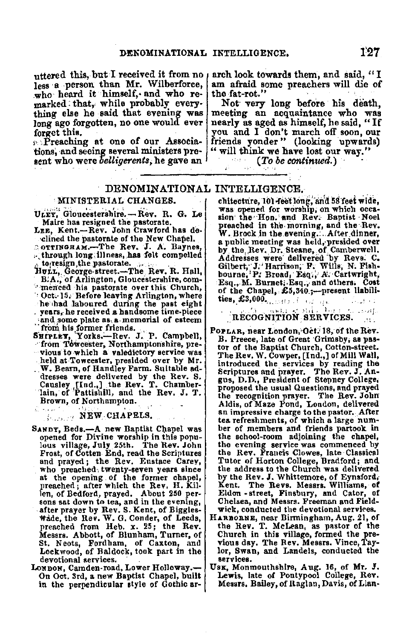uttered this, but I received it from no less a person than Mr. Wilberforce,<br>who heard it himself. and who remarked that, while probably every-<br>thing else he said that evening was long ago forgotten, no one would ever<br>forget this.

 $\mathbf{p}$ . Preaching at one of our Associations, and seeing several ministers present who were *belligerents*, he gave an arch look towards them, and said, "I am afraid some preachers will die of the fat-rot."

Not very long before his death,<br>meeting an acquaintance who was nearly as aged as himself, he said, "If you and I don't march off soon, our friends yonder " (looking upwards) "will think we have lost our way."<br>(*To be continued.*)

# DENOMINATIONAL INTELLIGENCE.

Lue, Kent.-Rev. John Crawford has de- w. Brock in the morning, and the little  $\mathbf{w}$ .

Oct.<sup>15</sup>, Before leaving Arlington, where 1<sup>01</sup> the Unaper, 200, 15, present had ...<br>The had laboured during the past eight ies,  $$3,000$ , ....... . years, he received a handsome time-piece  $\mathbf{r}$  .  $\mathbf{r}$   $\mathbf{r}$  of  $\mathbf{r}$  and  $\mathbf{r}$  is  $\mathbf{r}$  if  $\mathbf{r}$  is  $\mathbf{r}$  and  $\mathbf{r}$  is  $\mathbf{r}$  .  $\mathbf{r}$  is  $\mathbf{r}$  if  $\mathbf{r}$  is  $\mathbf{r}$  if  $\mathbf{r}$  is

vious to ,which **a** valedictory servioe was held at-Towcester, presided over by Mr. W. Bearn, of Handley Farm. Suitable addresses were delivered by the Rev. S. Causley [Ind.,] the Rev. T. Chamber- 'lain, of 'Pattishill, and the Rev. J. T. Brown, of Northampton. ill a sua

# NEW CHAPELS.

- SANDT, Beds.-A new Baptist Chapel was opened for Divine worship in this popu-<br>lous village, July 25th. The Rev. John Frost, of Cotten End, read the Scriptures and prayed; the Rev. Eustace Carey, who preached twenty-seven years since at the opening of the former chapel, preached; after which the Rev, H. Killen, of Bedford, prayed. About 250 per-Wade, the Rev. W. G. Conder, of Leeds, preached from Heb. x. 25; the Rev.<br>Messrs. Abbott, of Blunham, Turner, of St, N eots, Fordham, of Caxton, and Lockwood, of Baldock, took part in the devotional services.<br>Lonpon, Camden-road, Lower Holloway.-
- On Oct. 3rd, a new Baptist Chapel, built in the perpendicular style of Gothic ar-

MINISTERIAL CHANGES. chitecture, 101 feet long, and 58 feet wide, Was opened for worship; on which occa-<br>
"Was opened for worship; on which occa-<br>
Maire has resigned the pastorate.<br>
presched in the morning and the Bev Maire has resigned the pastorate.<br>LEE, Kent.—Rev. John Crawford has de- $\frac{w}{W}$ . Rrock in the avening after dinner •clined the pastorate of the New Chapel. a public meeting was held, presided over  $\alpha$ . The Rev. J. A. Baynes, by the Rev. Dr. Steane, of Camberwell. ,,.through long:lllnes~,.has felt compelled Addresses were· delivered 'by Revs: C. ·, toiresign,thepastorate. ,. ,. . Gilbert,·J.'Harii'son;- F. Wills; N. Flsh-HULL, George-street....-The Rev. R. Hall, Gilbert, J. Harrison, F. Wills, N. Fish-<br>BIA., of Arlington, Gloucestershire, com-<br>Fine Baq., M. Burnet, Esq., An others. Cost<br>Cott-15. Before leaving Arlington, where<br> $\frac{1}{100}$ 

- ,and.some plate as,a-memorial of esteem RECOGNITION SERVICES. •: ''. from his former friends .. **8BifLtv,** 'Yorks.;\_Rev. J.' **P.** Campbell, ··from Tbweester, Northamptonshire, pre-POPLAR, near London, Oct. 18, of the Rev.<br>B. Preece, late of Great Grimsby, as pastor of the Baptist Church, Cotton-street. The Rev. W. Cowper, [Ind.,] of Mill Wall, introduced the services by reading the Scriptures and prayer, The Rev. J. An**gus,** D.D., President of Stepney College, the recognition prayer. The Rev. John Aldis, of Maze Pond, London, delivered. an impressive charge to the pastor. After<br>tea refreshments, of which a large num-<br>ber of members and friends partook in the school-room adjoining the chapel, the evening service was commenced hy the Rev. Francis Clowes, late Classical Tutor of Horton College, Bradford; and the address to the Church was delivered by the Rev. J. Whittemore, of Eynsford. Kent. The Revs. Messrs. Williams, of Eldon - street, Finsbury, and Cator, of Chelsea, and Messrs. Freeman and Field-
	- HARBORNE, near Birmingham, Aug. 21, of the Rev. T. McLean, as pastor of the Church in this village, formed the previous day. The Rev. Messrs. Vince, Taylor, Swan, and Landels, conducted the **servi-cea.**
	- Usx, Monmouthshire, Aug. 16, of Mr. J. Lewis, late of Pontypool College, Rev. Messrs, Bailey, of Raglan, Davis, of Llan-